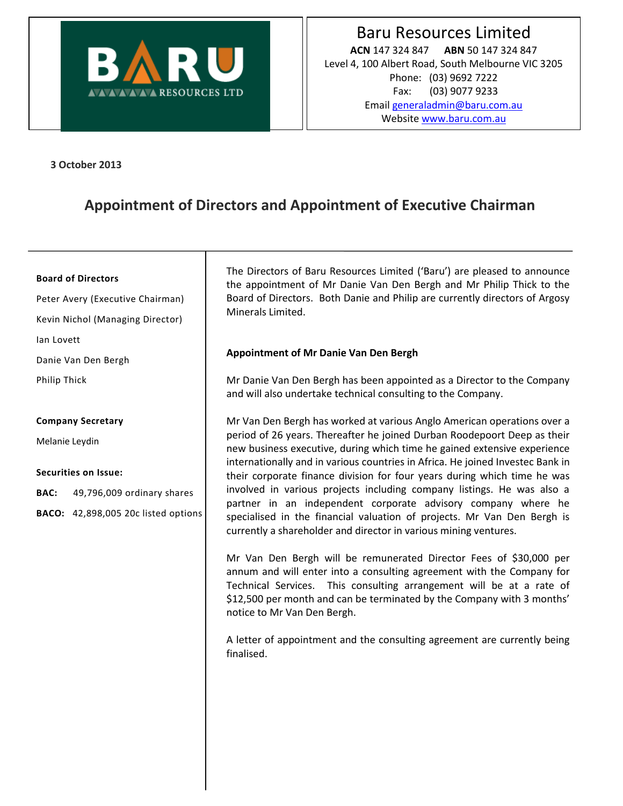

**3 October 2013**

# **Appointment of Directors and Appointment of Executive Chairman**

### **Board of Directors**

Peter Avery (Executive Chairman) Kevin Nichol (Managing Director) Ian Lovett Danie Van Den Bergh Philip Thick

#### **Company Secretary**

Melanie Leydin

## **Securities on Issue:**

**BAC:** 49,796,009 ordinary shares

**BACO:** 42,898,005 20c listed options

The Directors of Baru Resources Limited ('Baru') are pleased to announce the appointment of Mr Danie Van Den Bergh and Mr Philip Thick to the Board of Directors. Both Danie and Philip are currently directors of Argosy Minerals Limited.

## **Appointment of Mr Danie Van Den Bergh**

Mr Danie Van Den Bergh has been appointed as a Director to the Company and will also undertake technical consulting to the Company.

Mr Van Den Bergh has worked at various Anglo American operations over a period of 26 years. Thereafter he joined Durban Roodepoort Deep as their new business executive, during which time he gained extensive experience internationally and in various countries in Africa. He joined Investec Bank in their corporate finance division for four years during which time he was involved in various projects including company listings. He was also a partner in an independent corporate advisory company where he specialised in the financial valuation of projects. Mr Van Den Bergh is currently a shareholder and director in various mining ventures.

Mr Van Den Bergh will be remunerated Director Fees of \$30,000 per annum and will enter into a consulting agreement with the Company for Technical Services. This consulting arrangement will be at a rate of \$12,500 per month and can be terminated by the Company with 3 months' notice to Mr Van Den Bergh.

A letter of appointment and the consulting agreement are currently being finalised.